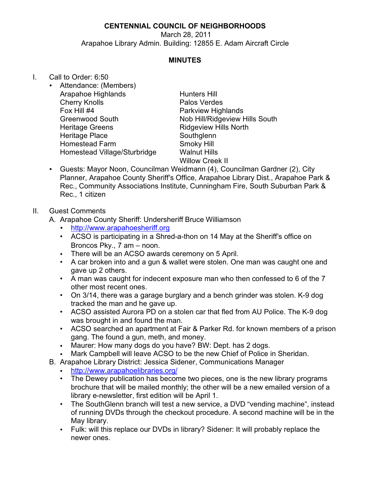## **CENTENNIAL COUNCIL OF NEIGHBORHOODS**

March 28, 2011 Arapahoe Library Admin. Building: 12855 E. Adam Aircraft Circle

### **MINUTES**

#### I. Call to Order: 6:50

• Attendance: (Members) Arapahoe Highlands Hunters Hill Cherry Knolls **Palos Verdes** Fox Hill #4 **Parkview Highlands** Heritage Greens **Ridgeview Hills North** Heritage Place Southglenn Homestead Farm Smoky Hill Homestead Village/Sturbridge Walnut Hills

Greenwood South Nob Hill/Ridgeview Hills South Willow Creek II

• Guests: Mayor Noon, Councilman Weidmann (4), Councilman Gardner (2), City Planner, Arapahoe County Sheriff's Office, Arapahoe Library Dist., Arapahoe Park & Rec., Community Associations Institute, Cunningham Fire, South Suburban Park & Rec., 1 citizen

#### II. Guest Comments

- A. Arapahoe County Sheriff: Undersheriff Bruce Williamson
	- <http://www.arapahoesheriff.org>
	- ACSO is participating in a Shred-a-thon on 14 May at the Sheriff's office on Broncos Pky., 7 am – noon.
	- There will be an ACSO awards ceremony on 5 April.
	- A car broken into and a gun & wallet were stolen. One man was caught one and gave up 2 others.
	- A man was caught for indecent exposure man who then confessed to 6 of the 7 other most recent ones.
	- On 3/14, there was a garage burglary and a bench grinder was stolen. K-9 dog tracked the man and he gave up.
	- ACSO assisted Aurora PD on a stolen car that fled from AU Police. The K-9 dog was brought in and found the man.
	- ACSO searched an apartment at Fair & Parker Rd. for known members of a prison gang. The found a gun, meth, and money.
	- Maurer: How many dogs do you have? BW: Dept. has 2 dogs.
	- Mark Campbell will leave ACSO to be the new Chief of Police in Sheridan.
- B. Arapahoe Library District: Jessica Sidener, Communications Manager
	- <http://www.arapahoelibraries.org/>
	- The Dewey publication has become two pieces, one is the new library programs brochure that will be mailed monthly; the other will be a new emailed version of a library e-newsletter, first edition will be April 1.
	- The SouthGlenn branch will test a new service, a DVD "vending machine", instead of running DVDs through the checkout procedure. A second machine will be in the May library.
	- Fulk: will this replace our DVDs in library? Sidener: It will probably replace the newer ones.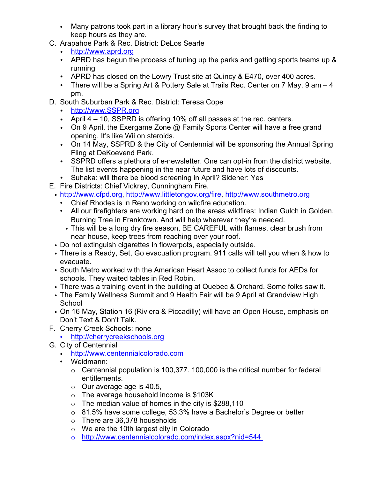- Many patrons took part in a library hour's survey that brought back the finding to keep hours as they are.
- C. Arapahoe Park & Rec. District: DeLos Searle
	- <http://www.aprd.org>
	- APRD has begun the process of tuning up the parks and getting sports teams up & running
	- APRD has closed on the Lowry Trust site at Quincy & E470, over 400 acres.
	- There will be a Spring Art & Pottery Sale at Trails Rec. Center on 7 May, 9 am 4 pm.
- D. South Suburban Park & Rec. District: Teresa Cope
	- <http://www.SSPR.org>
	- April 4 10, SSPRD is offering 10% off all passes at the rec. centers.
	- On 9 April, the Exergame Zone @ Family Sports Center will have a free grand opening. It's like Wii on steroids.
	- On 14 May, SSPRD & the City of Centennial will be sponsoring the Annual Spring Fling at DeKoevend Park.
	- SSPRD offers a plethora of e-newsletter. One can opt-in from the district website. The list events happening in the near future and have lots of discounts.
	- Suhaka: will there be blood screening in April? Sidener: Yes
- E. Fire Districts: Chief Vickrey, Cunningham Fire.
	- <http://www.cfpd.org>, <http://www.littletongov.org/fire>, <http://www.southmetro.org>
		- Chief Rhodes is in Reno working on wildfire education.
		- All our firefighters are working hard on the areas wildfires: Indian Gulch in Golden, Burning Tree in Franktown. And will help wherever they're needed.
			- This will be a long dry fire season, BE CAREFUL with flames, clear brush from near house, keep trees from reaching over your roof.
	- Do not extinguish cigarettes in flowerpots, especially outside.
	- There is a Ready, Set, Go evacuation program. 911 calls will tell you when & how to evacuate.
	- South Metro worked with the American Heart Assoc to collect funds for AEDs for schools. They waited tables in Red Robin.
	- There was a training event in the building at Quebec & Orchard. Some folks saw it.
	- The Family Wellness Summit and 9 Health Fair will be 9 April at Grandview High **School**
	- On 16 May, Station 16 (Riviera & Piccadilly) will have an Open House, emphasis on Don't Text & Don't Talk.
- F. Cherry Creek Schools: none
	- <http://cherrycreekschools.org>
- G. City of Centennial
	- <http://www.centennialcolorado.com>
	- Weidmann:
		- $\circ$  Centennial population is 100,377. 100,000 is the critical number for federal entitlements.
		- $\circ$  Our average age is 40.5,
		- o The average household income is \$103K
		- $\circ$  The median value of homes in the city is \$288,110
		- $\circ$  81.5% have some college, 53.3% have a Bachelor's Degree or better
		- o There are 36,378 households
		- o We are the 10th largest city in Colorado
		- o [http://www.centennialcolorado.com/index.aspx?nid=544](http://www.centennialcolorado.com/index.aspx?nid=544 )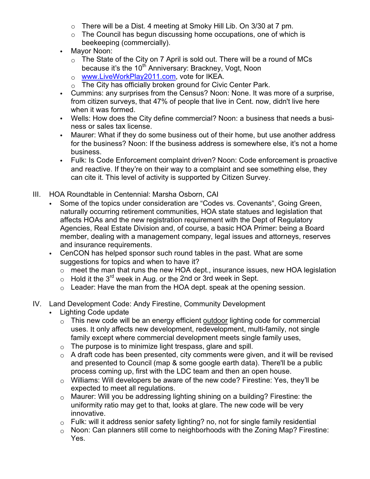- o There will be a Dist. 4 meeting at Smoky Hill Lib. On 3/30 at 7 pm.
- $\circ$  The Council has begun discussing home occupations, one of which is beekeeping (commercially).
- Mayor Noon:
	- $\circ$  The State of the City on 7 April is sold out. There will be a round of MCs because it's the 10<sup>th</sup> Anniversary: Brackney, Vogt, Noon
	- o [www.LiveWorkPlay2011.com,](http://o	www.LiveWorkPlay2011.com) vote for IKEA.
	- $\circ$  The City has officially broken ground for Civic Center Park.
- Cummins: any surprises from the Census? Noon: None. It was more of a surprise, from citizen surveys, that 47% of people that live in Cent. now, didn't live here when it was formed.
- Wells: How does the City define commercial? Noon: a business that needs a business or sales tax license.
- Maurer: What if they do some business out of their home, but use another address for the business? Noon: If the business address is somewhere else, it's not a home business.
- Fulk: Is Code Enforcement complaint driven? Noon: Code enforcement is proactive and reactive. If they're on their way to a complaint and see something else, they can cite it. This level of activity is supported by Citizen Survey.
- III. HOA Roundtable in Centennial: Marsha Osborn, CAI
	- Some of the topics under consideration are "Codes vs. Covenants", Going Green, naturally occurring retirement communities, HOA state statues and legislation that affects HOAs and the new registration requirement with the Dept of Regulatory Agencies, Real Estate Division and, of course, a basic HOA Primer: being a Board member, dealing with a management company, legal issues and attorneys, reserves and insurance requirements.
	- CenCON has helped sponsor such round tables in the past. What are some suggestions for topics and when to have it?
		- $\circ$  meet the man that runs the new HOA dept., insurance issues, new HOA legislation
		- $\circ$  Hold it the 3<sup>rd</sup> week in Aug. or the 2nd or 3rd week in Sept.
		- $\circ$  Leader: Have the man from the HOA dept. speak at the opening session.
- IV. Land Development Code: Andy Firestine, Community Development
	- Lighting Code update
		- $\circ$  This new code will be an energy efficient outdoor lighting code for commercial uses. It only affects new development, redevelopment, multi-family, not single family except where commercial development meets single family uses,
		- $\circ$  The purpose is to minimize light trespass, glare and spill.
		- $\circ$  A draft code has been presented, city comments were given, and it will be revised and presented to Council (map & some google earth data). There'll be a public process coming up, first with the LDC team and then an open house.
		- $\circ$  Williams: Will developers be aware of the new code? Firestine: Yes, they'll be expected to meet all regulations.
		- $\circ$  Maurer: Will you be addressing lighting shining on a building? Firestine: the uniformity ratio may get to that, looks at glare. The new code will be very innovative.
		- $\circ$  Fulk: will it address senior safety lighting? no, not for single family residential
		- $\circ$  Noon: Can planners still come to neighborhoods with the Zoning Map? Firestine: Yes.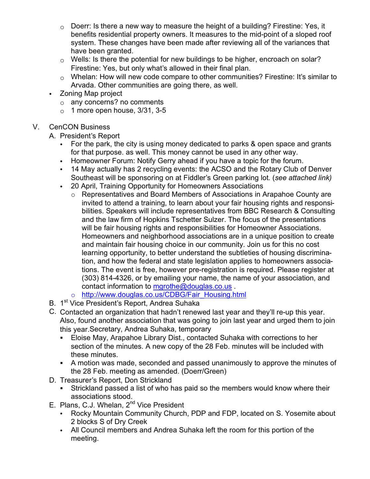- $\circ$  Doerr: Is there a new way to measure the height of a building? Firestine: Yes, it benefits residential property owners. It measures to the mid-point of a sloped roof system. These changes have been made after reviewing all of the variances that have been granted.
- $\circ$  Wells: Is there the potential for new buildings to be higher, encroach on solar? Firestine: Yes, but only what's allowed in their final plan.
- $\circ$  Whelan: How will new code compare to other communities? Firestine: It's similar to Arvada. Other communities are going there, as well.
- Zoning Map project
	- $\circ$  any concerns? no comments
	- $\circ$  1 more open house, 3/31, 3-5
- V. CenCON Business
	- A. President's Report
		- For the park, the city is using money dedicated to parks & open space and grants for that purpose. as well. This money cannot be used in any other way.
		- Homeowner Forum: Notify Gerry ahead if you have a topic for the forum.
		- 14 May actually has 2 recycling events: the ACSO and the Rotary Club of Denver Southeast will be sponsoring on at Fiddler!s Green parking lot. (*see attached link)*
		- 20 April, Training Opportunity for Homeowners Associations
			- o Representatives and Board Members of Associations in Arapahoe County are invited to attend a training, to learn about your fair housing rights and responsibilities. Speakers will include representatives from BBC Research & Consulting and the law firm of Hopkins Tschetter Sulzer. The focus of the presentations will be fair housing rights and responsibilities for Homeowner Associations. Homeowners and neighborhood associations are in a unique position to create and maintain fair housing choice in our community. Join us for this no cost learning opportunity, to better understand the subtleties of housing discrimination, and how the federal and state legislation applies to homeowners associations. The event is free, however pre-registration is required. Please register at (303) 814-4326, or by emailing your name, the name of your association, and contact information to [mgrothe@douglas.co.us](mailto:mgrothe@douglas.co.us) .
			- o [http://www.douglas.co.us/CDBG/Fair\\_Housing.html](http://www.douglas.co.us/CDBG/Fair_Housing.html)
	- B. 1<sup>st</sup> Vice President's Report, Andrea Suhaka
	- C. Contacted an organization that hadn't renewed last year and they'll re-up this year. Also, found another association that was going to join last year and urged them to join this year.Secretary, Andrea Suhaka, temporary
		- ! Eloise May, Arapahoe Library Dist., contacted Suhaka with corrections to her section of the minutes. A new copy of the 28 Feb. minutes will be included with these minutes.
		- ! A motion was made, seconded and passed unanimously to approve the minutes of the 28 Feb. meeting as amended. (Doerr/Green)
	- D. Treasurer's Report, Don Strickland
		- Strickland passed a list of who has paid so the members would know where their associations stood.
	- E. Plans, C.J. Whelan, 2<sup>nd</sup> Vice President
		- Rocky Mountain Community Church, PDP and FDP, located on S. Yosemite about 2 blocks S of Dry Creek
		- All Council members and Andrea Suhaka left the room for this portion of the meeting.